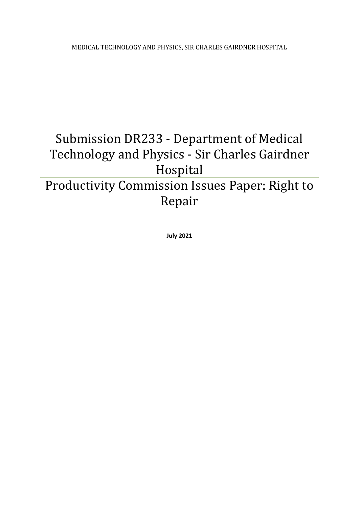# Submission DR233 - Department of Medical Technology and Physics - Sir Charles Gairdner Hospital Productivity Commission Issues Paper: Right to Repair

**July 2021**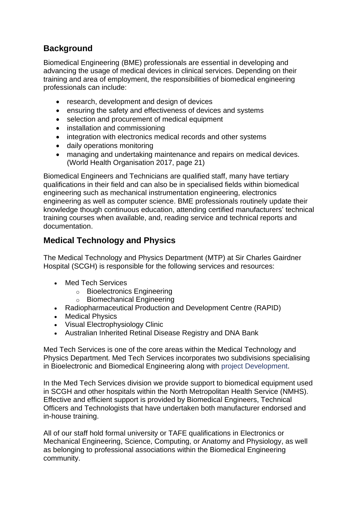### **Background**

Biomedical Engineering (BME) professionals are essential in developing and advancing the usage of medical devices in clinical services. Depending on their training and area of employment, the responsibilities of biomedical engineering professionals can include:

- research, development and design of devices
- ensuring the safety and effectiveness of devices and systems
- selection and procurement of medical equipment
- installation and commissioning
- integration with electronics medical records and other systems
- daily operations monitoring
- managing and undertaking maintenance and repairs on medical devices. (World Health Organisation 2017, page 21)

Biomedical Engineers and Technicians are qualified staff, many have tertiary qualifications in their field and can also be in specialised fields within biomedical engineering such as mechanical instrumentation engineering, electronics engineering as well as computer science. BME professionals routinely update their knowledge though continuous education, attending certified manufacturers' technical training courses when available, and, reading service and technical reports and documentation.

### **Medical Technology and Physics**

The Medical Technology and Physics Department (MTP) at Sir Charles Gairdner Hospital (SCGH) is responsible for the following services and resources:

- [Med Tech Services](https://scgophcg-healthpoint.hdwa.health.wa.gov.au/directory/CancerandImaging/MedicalTechnologyandPhysics/Pages/Med-Tech-Services.aspx)
	- o Bioelectronics Engineering
	- o Biomechanical Engineering
- [Radiopharmaceutical Production and Development Centre \(RAPID\)](https://scgophcg-healthpoint.hdwa.health.wa.gov.au/directory/CancerandImaging/MedicalTechnologyandPhysics/Pages/Radiopharmaceutical-Production-and-Development-%28RAPID%29.aspx)
- [Medical Physics](https://scgophcg-healthpoint.hdwa.health.wa.gov.au/directory/CancerandImaging/MedicalTechnologyandPhysics/Pages/Medical-Physics.aspx)
- [Visual Electrophysiology Clinic](https://scgophcg-healthpoint.hdwa.health.wa.gov.au/directory/CancerandImaging/MedicalTechnologyandPhysics/Pages/Visual-Electrophysiology.aspx)
- [Australian Inherited Retinal Disease Registry and DNA Bank](https://scgophcg-healthpoint.hdwa.health.wa.gov.au/directory/CancerandImaging/MedicalTechnologyandPhysics/Pages/Australian-Inherited-Retinal-Disease-Register-and-DNA-Bank.aspx)

Med Tech Services is one of the core areas within the Medical Technology and Physics Department. Med Tech Services incorporates two subdivisions specialising in Bioelectronic and Biomedical Engineering along with [project Development.](https://scgophcg-healthpoint.hdwa.health.wa.gov.au/directory/CancerandImaging/MedicalTechnologyandPhysics/Pages/Project-Development.aspx)

In the Med Tech Services division we provide support to biomedical equipment used in SCGH and other hospitals within the North Metropolitan Health Service (NMHS). Effective and efficient support is provided by Biomedical Engineers, Technical Officers and Technologists that have undertaken both manufacturer endorsed and in-house training.

All of our staff hold formal university or TAFE qualifications in Electronics or Mechanical Engineering, Science, Computing, or Anatomy and Physiology, as well as belonging to professional associations within the Biomedical Engineering community.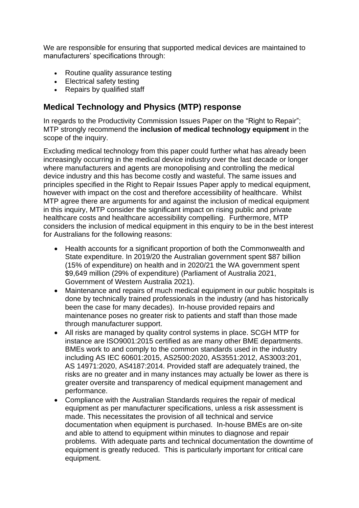We are responsible for ensuring that supported medical devices are maintained to manufacturers' specifications through:

- Routine quality assurance testing
- Electrical safety testing
- Repairs by qualified staff

### **Medical Technology and Physics (MTP) response**

In regards to the Productivity Commission Issues Paper on the "Right to Repair"; MTP strongly recommend the **inclusion of medical technology equipment** in the scope of the inquiry.

Excluding medical technology from this paper could further what has already been increasingly occurring in the medical device industry over the last decade or longer where manufacturers and agents are monopolising and controlling the medical device industry and this has become costly and wasteful. The same issues and principles specified in the Right to Repair Issues Paper apply to medical equipment, however with impact on the cost and therefore accessibility of healthcare. Whilst MTP agree there are arguments for and against the inclusion of medical equipment in this inquiry, MTP consider the significant impact on rising public and private healthcare costs and healthcare accessibility compelling. Furthermore, MTP considers the inclusion of medical equipment in this enquiry to be in the best interest for Australians for the following reasons:

- Health accounts for a significant proportion of both the Commonwealth and State expenditure. In 2019/20 the Australian government spent \$87 billion (15% of expenditure) on health and in 2020/21 the WA government spent \$9,649 million (29% of expenditure) (Parliament of Australia 2021, Government of Western Australia 2021).
- Maintenance and repairs of much medical equipment in our public hospitals is done by technically trained professionals in the industry (and has historically been the case for many decades). In-house provided repairs and maintenance poses no greater risk to patients and staff than those made through manufacturer support.
- All risks are managed by quality control systems in place. SCGH MTP for instance are ISO9001:2015 certified as are many other BME departments. BMEs work to and comply to the common standards used in the industry including AS IEC 60601:2015, AS2500:2020, AS3551:2012, AS3003:201, AS 14971:2020, AS4187:2014. Provided staff are adequately trained, the risks are no greater and in many instances may actually be lower as there is greater oversite and transparency of medical equipment management and performance.
- Compliance with the Australian Standards requires the repair of medical equipment as per manufacturer specifications, unless a risk assessment is made. This necessitates the provision of all technical and service documentation when equipment is purchased. In-house BMEs are on-site and able to attend to equipment within minutes to diagnose and repair problems. With adequate parts and technical documentation the downtime of equipment is greatly reduced. This is particularly important for critical care equipment.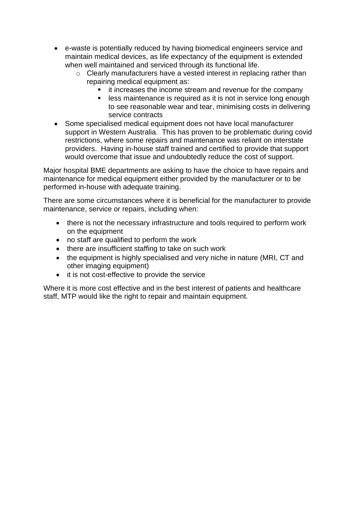- e-waste is potentially reduced by having biomedical engineers service and maintain medical devices, as life expectancy of the equipment is extended when well maintained and serviced through its functional life.
	- o Clearly manufacturers have a vested interest in replacing rather than repairing medical equipment as:
		- it increases the income stream and revenue for the company
		- less maintenance is required as it is not in service long enough to see reasonable wear and tear, minimising costs in delivering service contracts
- Some specialised medical equipment does not have local manufacturer support in Western Australia. This has proven to be problematic during covid restrictions, where some repairs and maintenance was reliant on interstate providers. Having in-house staff trained and certified to provide that support would overcome that issue and undoubtedly reduce the cost of support.

Major hospital BME departments are asking to have the choice to have repairs and maintenance for medical equipment either provided by the manufacturer or to be performed in-house with adequate training.

There are some circumstances where it is beneficial for the manufacturer to provide maintenance, service or repairs, including when:

- there is not the necessary infrastructure and tools required to perform work on the equipment
- no staff are qualified to perform the work
- there are insufficient staffing to take on such work
- the equipment is highly specialised and very niche in nature (MRI, CT and other imaging equipment)
- it is not cost-effective to provide the service

Where it is more cost effective and in the best interest of patients and healthcare staff, MTP would like the right to repair and maintain equipment.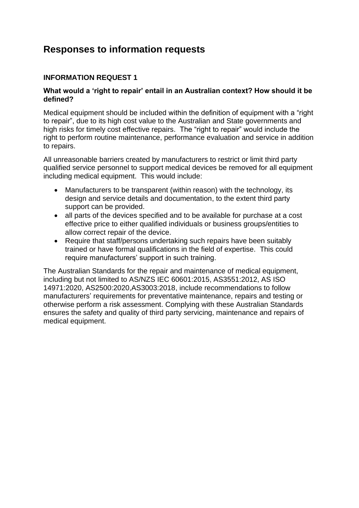### **Responses to information requests**

#### **INFORMATION REQUEST 1**

#### **What would a 'right to repair' entail in an Australian context? How should it be defined?**

Medical equipment should be included within the definition of equipment with a "right to repair", due to its high cost value to the Australian and State governments and high risks for timely cost effective repairs. The "right to repair" would include the right to perform routine maintenance, performance evaluation and service in addition to repairs.

All unreasonable barriers created by manufacturers to restrict or limit third party qualified service personnel to support medical devices be removed for all equipment including medical equipment. This would include:

- Manufacturers to be transparent (within reason) with the technology, its design and service details and documentation, to the extent third party support can be provided.
- all parts of the devices specified and to be available for purchase at a cost effective price to either qualified individuals or business groups/entities to allow correct repair of the device.
- Require that staff/persons undertaking such repairs have been suitably trained or have formal qualifications in the field of expertise. This could require manufacturers' support in such training.

The Australian Standards for the repair and maintenance of medical equipment, including but not limited to AS/NZS IEC 60601:2015, AS3551:2012, AS ISO 14971:2020, AS2500:2020,AS3003:2018, include recommendations to follow manufacturers' requirements for preventative maintenance, repairs and testing or otherwise perform a risk assessment. Complying with these Australian Standards ensures the safety and quality of third party servicing, maintenance and repairs of medical equipment.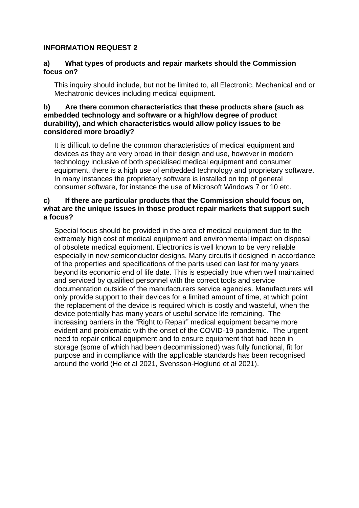#### **a) What types of products and repair markets should the Commission focus on?**

This inquiry should include, but not be limited to, all Electronic, Mechanical and or Mechatronic devices including medical equipment.

#### **b) Are there common characteristics that these products share (such as embedded technology and software or a high/low degree of product durability), and which characteristics would allow policy issues to be considered more broadly?**

It is difficult to define the common characteristics of medical equipment and devices as they are very broad in their design and use, however in modern technology inclusive of both specialised medical equipment and consumer equipment, there is a high use of embedded technology and proprietary software. In many instances the proprietary software is installed on top of general consumer software, for instance the use of Microsoft Windows 7 or 10 etc.

#### **c) If there are particular products that the Commission should focus on, what are the unique issues in those product repair markets that support such a focus?**

Special focus should be provided in the area of medical equipment due to the extremely high cost of medical equipment and environmental impact on disposal of obsolete medical equipment. Electronics is well known to be very reliable especially in new semiconductor designs. Many circuits if designed in accordance of the properties and specifications of the parts used can last for many years beyond its economic end of life date. This is especially true when well maintained and serviced by qualified personnel with the correct tools and service documentation outside of the manufacturers service agencies. Manufacturers will only provide support to their devices for a limited amount of time, at which point the replacement of the device is required which is costly and wasteful, when the device potentially has many years of useful service life remaining. The increasing barriers in the "Right to Repair" medical equipment became more evident and problematic with the onset of the COVID-19 pandemic. The urgent need to repair critical equipment and to ensure equipment that had been in storage (some of which had been decommissioned) was fully functional, fit for purpose and in compliance with the applicable standards has been recognised around the world (He et al 2021, Svensson-Hoglund et al 2021).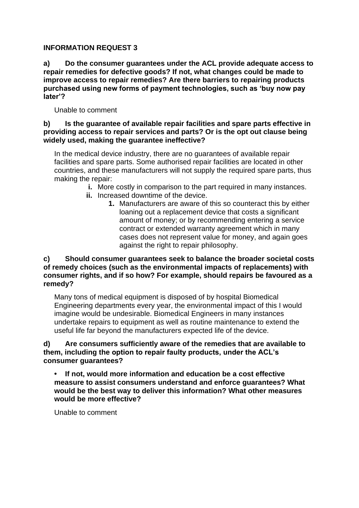**a) Do the consumer guarantees under the ACL provide adequate access to repair remedies for defective goods? If not, what changes could be made to improve access to repair remedies? Are there barriers to repairing products purchased using new forms of payment technologies, such as 'buy now pay later'?**

#### Unable to comment

#### **b) Is the guarantee of available repair facilities and spare parts effective in providing access to repair services and parts? Or is the opt out clause being widely used, making the guarantee ineffective?**

In the medical device industry, there are no guarantees of available repair facilities and spare parts. Some authorised repair facilities are located in other countries, and these manufacturers will not supply the required spare parts, thus making the repair:

- **i.** More costly in comparison to the part required in many instances.
- **ii.** Increased downtime of the device.
	- **1.** Manufacturers are aware of this so counteract this by either loaning out a replacement device that costs a significant amount of money; or by recommending entering a service contract or extended warranty agreement which in many cases does not represent value for money, and again goes against the right to repair philosophy.

#### **c) Should consumer guarantees seek to balance the broader societal costs of remedy choices (such as the environmental impacts of replacements) with consumer rights, and if so how? For example, should repairs be favoured as a remedy?**

Many tons of medical equipment is disposed of by hospital Biomedical Engineering departments every year, the environmental impact of this I would imagine would be undesirable. Biomedical Engineers in many instances undertake repairs to equipment as well as routine maintenance to extend the useful life far beyond the manufacturers expected life of the device.

#### **d) Are consumers sufficiently aware of the remedies that are available to them, including the option to repair faulty products, under the ACL's consumer guarantees?**

**• If not, would more information and education be a cost effective measure to assist consumers understand and enforce guarantees? What would be the best way to deliver this information? What other measures would be more effective?**

Unable to comment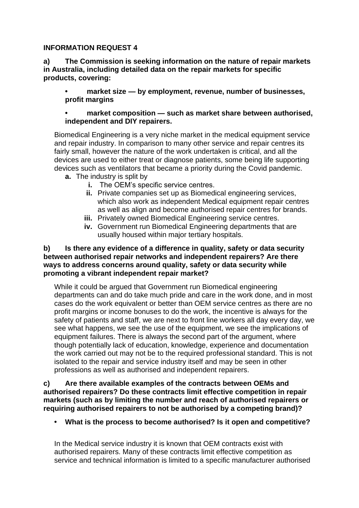**a) The Commission is seeking information on the nature of repair markets in Australia, including detailed data on the repair markets for specific products, covering:**

**• market size — by employment, revenue, number of businesses, profit margins**

#### **• market composition — such as market share between authorised, independent and DIY repairers.**

Biomedical Engineering is a very niche market in the medical equipment service and repair industry. In comparison to many other service and repair centres its fairly small, however the nature of the work undertaken is critical, and all the devices are used to either treat or diagnose patients, some being life supporting devices such as ventilators that became a priority during the Covid pandemic.

- **a.** The industry is split by
	- **i.** The OEM's specific service centres.
	- **ii.** Private companies set up as Biomedical engineering services, which also work as independent Medical equipment repair centres as well as align and become authorised repair centres for brands.
	- **iii.** Privately owned Biomedical Engineering service centres.
	- **iv.** Government run Biomedical Engineering departments that are usually housed within major tertiary hospitals.

#### **b) Is there any evidence of a difference in quality, safety or data security between authorised repair networks and independent repairers? Are there ways to address concerns around quality, safety or data security while promoting a vibrant independent repair market?**

While it could be argued that Government run Biomedical engineering departments can and do take much pride and care in the work done, and in most cases do the work equivalent or better than OEM service centres as there are no profit margins or income bonuses to do the work, the incentive is always for the safety of patients and staff, we are next to front line workers all day every day, we see what happens, we see the use of the equipment, we see the implications of equipment failures. There is always the second part of the argument, where though potentially lack of education, knowledge, experience and documentation the work carried out may not be to the required professional standard. This is not isolated to the repair and service industry itself and may be seen in other professions as well as authorised and independent repairers.

**c) Are there available examples of the contracts between OEMs and authorised repairers? Do these contracts limit effective competition in repair markets (such as by limiting the number and reach of authorised repairers or requiring authorised repairers to not be authorised by a competing brand)?**

**• What is the process to become authorised? Is it open and competitive?**

In the Medical service industry it is known that OEM contracts exist with authorised repairers. Many of these contracts limit effective competition as service and technical information is limited to a specific manufacturer authorised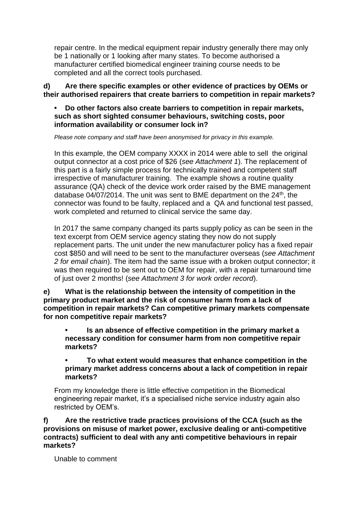repair centre. In the medical equipment repair industry generally there may only be 1 nationally or 1 looking after many states. To become authorised a manufacturer certified biomedical engineer training course needs to be completed and all the correct tools purchased.

**d) Are there specific examples or other evidence of practices by OEMs or their authorised repairers that create barriers to competition in repair markets?**

#### **• Do other factors also create barriers to competition in repair markets, such as short sighted consumer behaviours, switching costs, poor information availability or consumer lock in?**

*Please note company and staff have been anonymised for privacy in this example.*

In this example, the OEM company XXXX in 2014 were able to sell the original output connector at a cost price of \$26 (*see Attachment 1*). The replacement of this part is a fairly simple process for technically trained and competent staff irrespective of manufacturer training. The example shows a routine quality assurance (QA) check of the device work order raised by the BME management database 04/07/2014. The unit was sent to BME department on the 24<sup>th</sup>, the connector was found to be faulty, replaced and a QA and functional test passed, work completed and returned to clinical service the same day.

In 2017 the same company changed its parts supply policy as can be seen in the text excerpt from OEM service agency stating they now do not supply replacement parts. The unit under the new manufacturer policy has a fixed repair cost \$850 and will need to be sent to the manufacturer overseas (*see Attachment 2 for email chain*). The item had the same issue with a broken output connector; it was then required to be sent out to OEM for repair, with a repair turnaround time of just over 2 months! (*see Attachment 3 for work order record*).

**e) What is the relationship between the intensity of competition in the primary product market and the risk of consumer harm from a lack of competition in repair markets? Can competitive primary markets compensate for non competitive repair markets?**

**• Is an absence of effective competition in the primary market a necessary condition for consumer harm from non competitive repair markets?** 

#### **• To what extent would measures that enhance competition in the primary market address concerns about a lack of competition in repair markets?**

From my knowledge there is little effective competition in the Biomedical engineering repair market, it's a specialised niche service industry again also restricted by OEM's.

**f) Are the restrictive trade practices provisions of the CCA (such as the provisions on misuse of market power, exclusive dealing or anti-competitive contracts) sufficient to deal with any anti competitive behaviours in repair markets?**

Unable to comment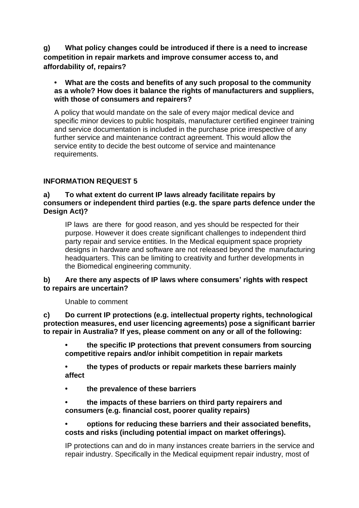**g) What policy changes could be introduced if there is a need to increase competition in repair markets and improve consumer access to, and affordability of, repairs?**

#### **• What are the costs and benefits of any such proposal to the community as a whole? How does it balance the rights of manufacturers and suppliers, with those of consumers and repairers?**

A policy that would mandate on the sale of every major medical device and specific minor devices to public hospitals, manufacturer certified engineer training and service documentation is included in the purchase price irrespective of any further service and maintenance contract agreement. This would allow the service entity to decide the best outcome of service and maintenance requirements.

#### **INFORMATION REQUEST 5**

#### **a) To what extent do current IP laws already facilitate repairs by consumers or independent third parties (e.g. the spare parts defence under the Design Act)?**

IP laws are there for good reason, and yes should be respected for their purpose. However it does create significant challenges to independent third party repair and service entities. In the Medical equipment space propriety designs in hardware and software are not released beyond the manufacturing headquarters. This can be limiting to creativity and further developments in the Biomedical engineering community.

#### **b) Are there any aspects of IP laws where consumers' rights with respect to repairs are uncertain?**

#### Unable to comment

**c) Do current IP protections (e.g. intellectual property rights, technological protection measures, end user licencing agreements) pose a significant barrier to repair in Australia? If yes, please comment on any or all of the following:**

**• the specific IP protections that prevent consumers from sourcing competitive repairs and/or inhibit competition in repair markets**

**• the types of products or repair markets these barriers mainly affect** 

- **• the prevalence of these barriers**
- **• the impacts of these barriers on third party repairers and consumers (e.g. financial cost, poorer quality repairs)**

#### **• options for reducing these barriers and their associated benefits, costs and risks (including potential impact on market offerings).**

IP protections can and do in many instances create barriers in the service and repair industry. Specifically in the Medical equipment repair industry, most of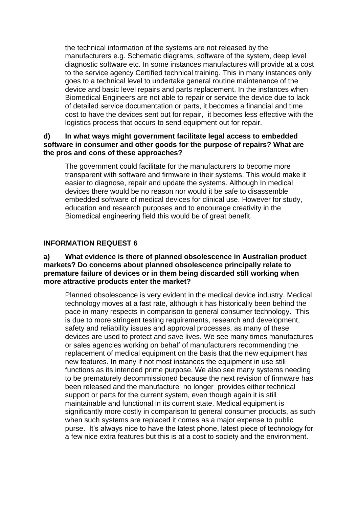the technical information of the systems are not released by the manufacturers e.g. Schematic diagrams, software of the system, deep level diagnostic software etc. In some instances manufactures will provide at a cost to the service agency Certified technical training. This in many instances only goes to a technical level to undertake general routine maintenance of the device and basic level repairs and parts replacement. In the instances when Biomedical Engineers are not able to repair or service the device due to lack of detailed service documentation or parts, it becomes a financial and time cost to have the devices sent out for repair, it becomes less effective with the logistics process that occurs to send equipment out for repair.

#### **d) In what ways might government facilitate legal access to embedded software in consumer and other goods for the purpose of repairs? What are the pros and cons of these approaches?**

The government could facilitate for the manufacturers to become more transparent with software and firmware in their systems. This would make it easier to diagnose, repair and update the systems. Although In medical devices there would be no reason nor would it be safe to disassemble embedded software of medical devices for clinical use. However for study, education and research purposes and to encourage creativity in the Biomedical engineering field this would be of great benefit.

#### **INFORMATION REQUEST 6**

#### **a) What evidence is there of planned obsolescence in Australian product markets? Do concerns about planned obsolescence principally relate to premature failure of devices or in them being discarded still working when more attractive products enter the market?**

Planned obsolescence is very evident in the medical device industry. Medical technology moves at a fast rate, although it has historically been behind the pace in many respects in comparison to general consumer technology. This is due to more stringent testing requirements, research and development, safety and reliability issues and approval processes, as many of these devices are used to protect and save lives. We see many times manufactures or sales agencies working on behalf of manufacturers recommending the replacement of medical equipment on the basis that the new equipment has new features. In many if not most instances the equipment in use still functions as its intended prime purpose. We also see many systems needing to be prematurely decommissioned because the next revision of firmware has been released and the manufacture no longer provides either technical support or parts for the current system, even though again it is still maintainable and functional in its current state. Medical equipment is significantly more costly in comparison to general consumer products, as such when such systems are replaced it comes as a major expense to public purse. It's always nice to have the latest phone, latest piece of technology for a few nice extra features but this is at a cost to society and the environment.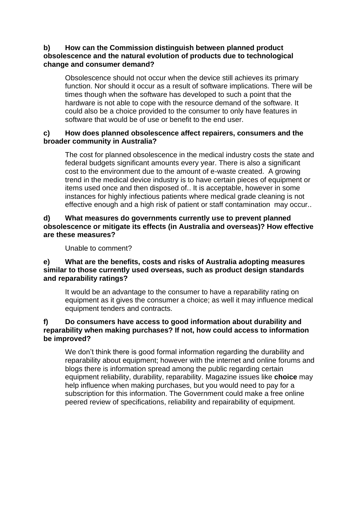#### **b) How can the Commission distinguish between planned product obsolescence and the natural evolution of products due to technological change and consumer demand?**

Obsolescence should not occur when the device still achieves its primary function. Nor should it occur as a result of software implications. There will be times though when the software has developed to such a point that the hardware is not able to cope with the resource demand of the software. It could also be a choice provided to the consumer to only have features in software that would be of use or benefit to the end user.

#### **c) How does planned obsolescence affect repairers, consumers and the broader community in Australia?**

The cost for planned obsolescence in the medical industry costs the state and federal budgets significant amounts every year. There is also a significant cost to the environment due to the amount of e-waste created. A growing trend in the medical device industry is to have certain pieces of equipment or items used once and then disposed of.. It is acceptable, however in some instances for highly infectious patients where medical grade cleaning is not effective enough and a high risk of patient or staff contamination may occur..

#### **d) What measures do governments currently use to prevent planned obsolescence or mitigate its effects (in Australia and overseas)? How effective are these measures?**

Unable to comment?

#### **e) What are the benefits, costs and risks of Australia adopting measures similar to those currently used overseas, such as product design standards and reparability ratings?**

It would be an advantage to the consumer to have a reparability rating on equipment as it gives the consumer a choice; as well it may influence medical equipment tenders and contracts.

#### **f) Do consumers have access to good information about durability and reparability when making purchases? If not, how could access to information be improved?**

We don't think there is good formal information regarding the durability and reparability about equipment; however with the internet and online forums and blogs there is information spread among the public regarding certain equipment reliability, durability, reparability. Magazine issues like **choice** may help influence when making purchases, but you would need to pay for a subscription for this information. The Government could make a free online peered review of specifications, reliability and repairability of equipment.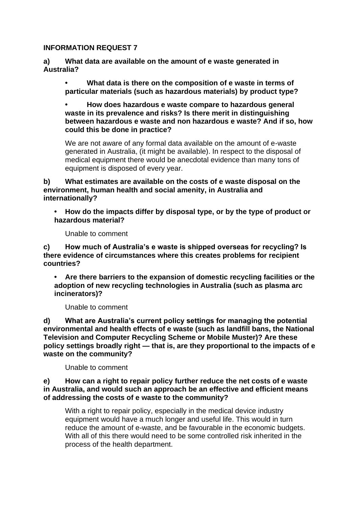**a) What data are available on the amount of e waste generated in Australia?**

**• What data is there on the composition of e waste in terms of particular materials (such as hazardous materials) by product type?**

**• How does hazardous e waste compare to hazardous general waste in its prevalence and risks? Is there merit in distinguishing between hazardous e waste and non hazardous e waste? And if so, how could this be done in practice?**

We are not aware of any formal data available on the amount of e-waste generated in Australia, (it might be available). In respect to the disposal of medical equipment there would be anecdotal evidence than many tons of equipment is disposed of every year.

**b) What estimates are available on the costs of e waste disposal on the environment, human health and social amenity, in Australia and internationally?** 

**• How do the impacts differ by disposal type, or by the type of product or hazardous material?**

Unable to comment

**c) How much of Australia's e waste is shipped overseas for recycling? Is there evidence of circumstances where this creates problems for recipient countries?** 

**• Are there barriers to the expansion of domestic recycling facilities or the adoption of new recycling technologies in Australia (such as plasma arc incinerators)?**

Unable to comment

**d) What are Australia's current policy settings for managing the potential environmental and health effects of e waste (such as landfill bans, the National Television and Computer Recycling Scheme or Mobile Muster)? Are these policy settings broadly right — that is, are they proportional to the impacts of e waste on the community?**

Unable to comment

#### **e) How can a right to repair policy further reduce the net costs of e waste in Australia, and would such an approach be an effective and efficient means of addressing the costs of e waste to the community?**

With a right to repair policy, especially in the medical device industry equipment would have a much longer and useful life. This would in turn reduce the amount of e-waste, and be favourable in the economic budgets. With all of this there would need to be some controlled risk inherited in the process of the health department.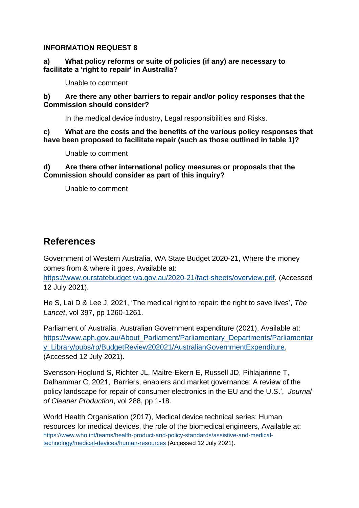#### **a) What policy reforms or suite of policies (if any) are necessary to facilitate a 'right to repair' in Australia?**

Unable to comment

#### **b) Are there any other barriers to repair and/or policy responses that the Commission should consider?**

In the medical device industry, Legal responsibilities and Risks.

**c) What are the costs and the benefits of the various policy responses that have been proposed to facilitate repair (such as those outlined in table 1)?**

Unable to comment

#### **d) Are there other international policy measures or proposals that the Commission should consider as part of this inquiry?**

Unable to comment

### **References**

Government of Western Australia, WA State Budget 2020-21, Where the money comes from & where it goes, Available at:

[https://www.ourstatebudget.wa.gov.au/2020-21/fact-sheets/overview.pdf,](https://www.ourstatebudget.wa.gov.au/2020-21/fact-sheets/overview.pdf) (Accessed 12 July 2021).

He S, Lai D & Lee J, 2021, 'The medical right to repair: the right to save lives', *The Lancet*, vol 397, pp 1260-1261.

Parliament of Australia, Australian Government expenditure (2021), Available at: [https://www.aph.gov.au/About\\_Parliament/Parliamentary\\_Departments/Parliamentar](https://www.aph.gov.au/About_Parliament/Parliamentary_Departments/Parliamentary_Library/pubs/rp/BudgetReview202021/AustralianGovernmentExpenditure) [y\\_Library/pubs/rp/BudgetReview202021/AustralianGovernmentExpenditure,](https://www.aph.gov.au/About_Parliament/Parliamentary_Departments/Parliamentary_Library/pubs/rp/BudgetReview202021/AustralianGovernmentExpenditure) (Accessed 12 July 2021).

Svensson-Hoglund S, Richter JL, Maitre-Ekern E, Russell JD, Pihlajarinne T, Dalhammar C, 2021, 'Barriers, enablers and market governance: A review of the policy landscape for repair of consumer electronics in the EU and the U.S.', *Journal of Cleaner Production*, vol 288, pp 1-18.

World Health Organisation (2017), Medical device technical series: Human resources for medical devices, the role of the biomedical engineers, Available at: [https://www.who.int/teams/health-product-and-policy-standards/assistive-and-medical](https://www.who.int/teams/health-product-and-policy-standards/assistive-and-medical-technology/medical-devices/human-resources)[technology/medical-devices/human-resources](https://www.who.int/teams/health-product-and-policy-standards/assistive-and-medical-technology/medical-devices/human-resources) (Accessed 12 July 2021).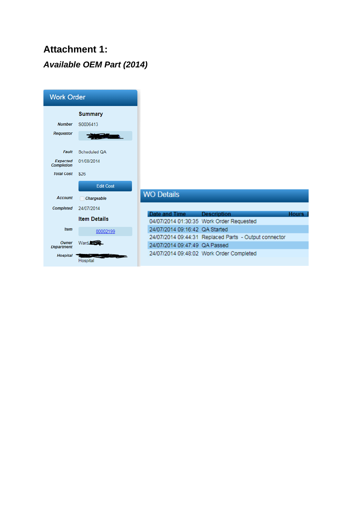# **Attachment 1:** *Available OEM Part (2014)*

| <b>Work Order</b>                    |                     |                                                       |              |
|--------------------------------------|---------------------|-------------------------------------------------------|--------------|
|                                      | <b>Summary</b>      |                                                       |              |
| <b>Number</b>                        | S0006413            |                                                       |              |
| Requestor                            |                     |                                                       |              |
|                                      |                     |                                                       |              |
| Fault                                | Scheduled OA        |                                                       |              |
| <b>Expected</b><br><b>Completion</b> | 01/08/2014          |                                                       |              |
| <b>Total Cost</b>                    | \$26                |                                                       |              |
|                                      | <b>Edit Cost</b>    |                                                       |              |
| <b>Account</b>                       | Chargeable          | <b>WO Details</b>                                     |              |
| <b>Completed</b>                     | 24/07/2014          |                                                       |              |
|                                      | <b>Item Details</b> | Date and Time<br><b>Description</b>                   | <b>Hours</b> |
|                                      |                     | 04/07/2014 01:30:35 Work Order Requested              |              |
| <b>frem</b>                          | 00002199            | 24/07/2014 09:16:42 QA Started                        |              |
| Owner                                | Ward <b>Links</b>   | 24/07/2014 09:44:31 Replaced Parts - Output connector |              |
| <b>Department</b>                    |                     | 24/07/2014 09:47:49 QA Passed                         |              |
| <b>Hospital</b>                      | Hospital            | 24/07/2014 09:48:02 Work Order Completed              |              |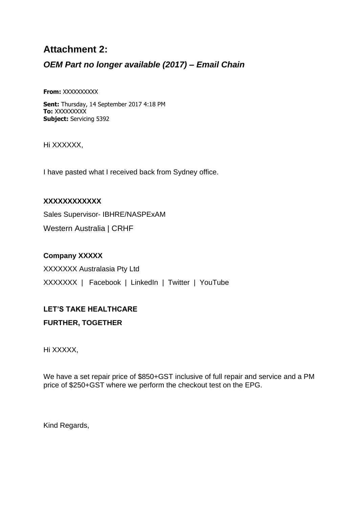### **Attachment 2:**

#### *OEM Part no longer available (2017) – Email Chain*

**From:** XXXXXXXXXX

**Sent:** Thursday, 14 September 2017 4:18 PM **To:** XXXXXXXXX **Subject:** Servicing 5392

Hi XXXXXX.

I have pasted what I received back from Sydney office.

#### **XXXXXXXXXXXX**

Sales Supervisor- IBHRE/NASPExAM

Western Australia | CRHF

#### **Company XXXXX**

XXXXXXX Australasia Pty Ltd XXXXXXX | Facebook | LinkedIn | Twitter | YouTube

#### **LET'S TAKE HEALTHCARE**

#### **FURTHER, TOGETHER**

Hi XXXXX,

We have a set repair price of \$850+GST inclusive of full repair and service and a PM price of \$250+GST where we perform the checkout test on the EPG.

Kind Regards,